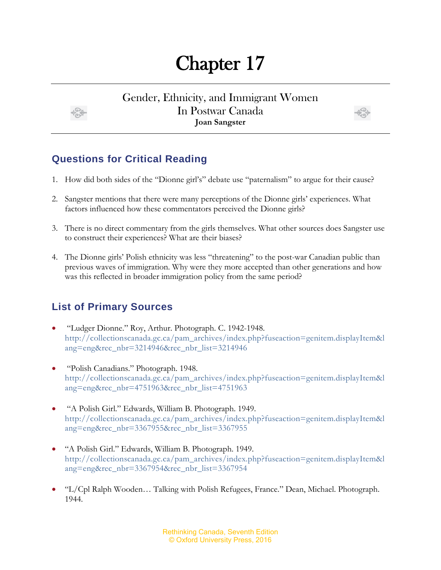## Chapter 17

Gender, Ethnicity, and Immigrant Women In Postwar Canada **Joan Sangster**



## **Questions for Critical Reading**

- 1. How did both sides of the "Dionne girl's" debate use "paternalism" to argue for their cause?
- 2. Sangster mentions that there were many perceptions of the Dionne girls' experiences. What factors influenced how these commentators perceived the Dionne girls?
- 3. There is no direct commentary from the girls themselves. What other sources does Sangster use to construct their experiences? What are their biases?
- 4. The Dionne girls' Polish ethnicity was less "threatening" to the post-war Canadian public than previous waves of immigration. Why were they more accepted than other generations and how was this reflected in broader immigration policy from the same period?

## **List of Primary Sources**

- "Ludger Dionne." Roy, Arthur. Photograph. C. 1942-1948. [http://collectionscanada.gc.ca/pam\\_archives/index.php?fuseaction=genitem.displayItem&l](http://collectionscanada.gc.ca/pam_archives/index.php?fuseaction=genitem.displayItem&lang=eng&rec_nbr=3214946&rec_nbr_list=3214946) [ang=eng&rec\\_nbr=3214946&rec\\_nbr\\_list=3214946](http://collectionscanada.gc.ca/pam_archives/index.php?fuseaction=genitem.displayItem&lang=eng&rec_nbr=3214946&rec_nbr_list=3214946)
- "Polish Canadians." Photograph. 1948. [http://collectionscanada.gc.ca/pam\\_archives/index.php?fuseaction=genitem.displayItem&l](http://collectionscanada.gc.ca/pam_archives/index.php?fuseaction=genitem.displayItem&lang=eng&rec_nbr=4751963&rec_nbr_list=4751963) [ang=eng&rec\\_nbr=4751963&rec\\_nbr\\_list=4751963](http://collectionscanada.gc.ca/pam_archives/index.php?fuseaction=genitem.displayItem&lang=eng&rec_nbr=4751963&rec_nbr_list=4751963)
- "A Polish Girl." Edwards, William B. Photograph. 1949. [http://collectionscanada.gc.ca/pam\\_archives/index.php?fuseaction=genitem.displayItem&l](http://collectionscanada.gc.ca/pam_archives/index.php?fuseaction=genitem.displayItem&lang=eng&rec_nbr=3367955&rec_nbr_list=3367955) [ang=eng&rec\\_nbr=3367955&rec\\_nbr\\_list=3367955](http://collectionscanada.gc.ca/pam_archives/index.php?fuseaction=genitem.displayItem&lang=eng&rec_nbr=3367955&rec_nbr_list=3367955)
- "A Polish Girl." Edwards, William B. Photograph. 1949. [http://collectionscanada.gc.ca/pam\\_archives/index.php?fuseaction=genitem.displayItem&l](http://collectionscanada.gc.ca/pam_archives/index.php?fuseaction=genitem.displayItem&lang=eng&rec_nbr=3367954&rec_nbr_list=3367954) [ang=eng&rec\\_nbr=3367954&rec\\_nbr\\_list=3367954](http://collectionscanada.gc.ca/pam_archives/index.php?fuseaction=genitem.displayItem&lang=eng&rec_nbr=3367954&rec_nbr_list=3367954)
- "L/Cpl Ralph Wooden… Talking with Polish Refugees, France." Dean, Michael. Photograph. 1944.

Rethinking Canada, Seventh Edition © Oxford University Press, 2016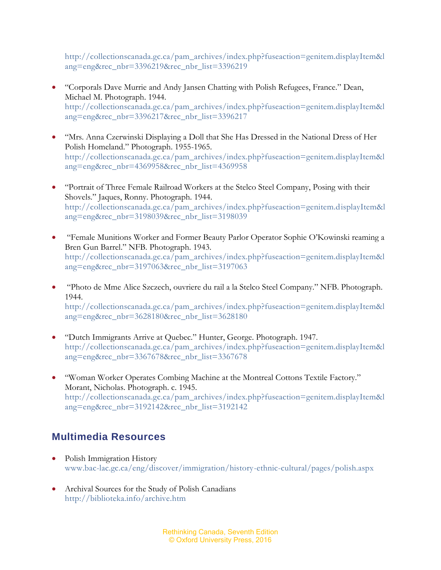[http://collectionscanada.gc.ca/pam\\_archives/index.php?fuseaction=genitem.displayItem&l](http://collectionscanada.gc.ca/pam_archives/index.php?fuseaction=genitem.displayItem&lang=eng&rec_nbr=3396219&rec_nbr_list=3396219) [ang=eng&rec\\_nbr=3396219&rec\\_nbr\\_list=3396219](http://collectionscanada.gc.ca/pam_archives/index.php?fuseaction=genitem.displayItem&lang=eng&rec_nbr=3396219&rec_nbr_list=3396219)

- "Corporals Dave Murrie and Andy Jansen Chatting with Polish Refugees, France." Dean, Michael M. Photograph. 1944. [http://collectionscanada.gc.ca/pam\\_archives/index.php?fuseaction=genitem.displayItem&l](http://collectionscanada.gc.ca/pam_archives/index.php?fuseaction=genitem.displayItem&lang=eng&rec_nbr=3396217&rec_nbr_list=3396217) [ang=eng&rec\\_nbr=3396217&rec\\_nbr\\_list=3396217](http://collectionscanada.gc.ca/pam_archives/index.php?fuseaction=genitem.displayItem&lang=eng&rec_nbr=3396217&rec_nbr_list=3396217)
- "Mrs. Anna Czerwinski Displaying a Doll that She Has Dressed in the National Dress of Her Polish Homeland." Photograph. 1955-1965. [http://collectionscanada.gc.ca/pam\\_archives/index.php?fuseaction=genitem.displayItem&l](http://collectionscanada.gc.ca/pam_archives/index.php?fuseaction=genitem.displayItem&lang=eng&rec_nbr=4369958&rec_nbr_list=4369958) [ang=eng&rec\\_nbr=4369958&rec\\_nbr\\_list=4369958](http://collectionscanada.gc.ca/pam_archives/index.php?fuseaction=genitem.displayItem&lang=eng&rec_nbr=4369958&rec_nbr_list=4369958)
- "Portrait of Three Female Railroad Workers at the Stelco Steel Company, Posing with their Shovels." Jaques, Ronny. Photograph. 1944. [http://collectionscanada.gc.ca/pam\\_archives/index.php?fuseaction=genitem.displayItem&l](http://collectionscanada.gc.ca/pam_archives/index.php?fuseaction=genitem.displayItem&lang=eng&rec_nbr=3198039&rec_nbr_list=3198039) [ang=eng&rec\\_nbr=3198039&rec\\_nbr\\_list=3198039](http://collectionscanada.gc.ca/pam_archives/index.php?fuseaction=genitem.displayItem&lang=eng&rec_nbr=3198039&rec_nbr_list=3198039)
- "Female Munitions Worker and Former Beauty Parlor Operator Sophie O'Kowinski reaming a Bren Gun Barrel." NFB. Photograph. 1943. [http://collectionscanada.gc.ca/pam\\_archives/index.php?fuseaction=genitem.displayItem&l](http://collectionscanada.gc.ca/pam_archives/index.php?fuseaction=genitem.displayItem&lang=eng&rec_nbr=3197063&rec_nbr_list=3197063) [ang=eng&rec\\_nbr=3197063&rec\\_nbr\\_list=3197063](http://collectionscanada.gc.ca/pam_archives/index.php?fuseaction=genitem.displayItem&lang=eng&rec_nbr=3197063&rec_nbr_list=3197063)
- "Photo de Mme Alice Szczech, ouvriere du rail a la Stelco Steel Company." NFB. Photograph. 1944. [http://collectionscanada.gc.ca/pam\\_archives/index.php?fuseaction=genitem.displayItem&l](http://collectionscanada.gc.ca/pam_archives/index.php?fuseaction=genitem.displayItem&lang=eng&rec_nbr=3628180&rec_nbr_list=3628180) [ang=eng&rec\\_nbr=3628180&rec\\_nbr\\_list=3628180](http://collectionscanada.gc.ca/pam_archives/index.php?fuseaction=genitem.displayItem&lang=eng&rec_nbr=3628180&rec_nbr_list=3628180)
- "Dutch Immigrants Arrive at Quebec." Hunter, George. Photograph. 1947. [http://collectionscanada.gc.ca/pam\\_archives/index.php?fuseaction=genitem.displayItem&l](http://collectionscanada.gc.ca/pam_archives/index.php?fuseaction=genitem.displayItem&lang=eng&rec_nbr=3367678&rec_nbr_list=3367678) [ang=eng&rec\\_nbr=3367678&rec\\_nbr\\_list=3367678](http://collectionscanada.gc.ca/pam_archives/index.php?fuseaction=genitem.displayItem&lang=eng&rec_nbr=3367678&rec_nbr_list=3367678)
- "Woman Worker Operates Combing Machine at the Montreal Cottons Textile Factory." Morant, Nicholas. Photograph. c. 1945. [http://collectionscanada.gc.ca/pam\\_archives/index.php?fuseaction=genitem.displayItem&l](http://collectionscanada.gc.ca/pam_archives/index.php?fuseaction=genitem.displayItem&lang=eng&rec_nbr=3192142&rec_nbr_list=3192142) [ang=eng&rec\\_nbr=3192142&rec\\_nbr\\_list=3192142](http://collectionscanada.gc.ca/pam_archives/index.php?fuseaction=genitem.displayItem&lang=eng&rec_nbr=3192142&rec_nbr_list=3192142)

## **Multimedia Resources**

- Polish Immigration History [www.bac-lac.gc.ca/eng/discover/immigration/history-ethnic-cultural/pages/polish.aspx](http://www.bac-lac.gc.ca/eng/discover/immigration/history-ethnic-cultural/pages/polish.aspx)
- Archival Sources for the Study of Polish Canadians <http://biblioteka.info/archive.htm>